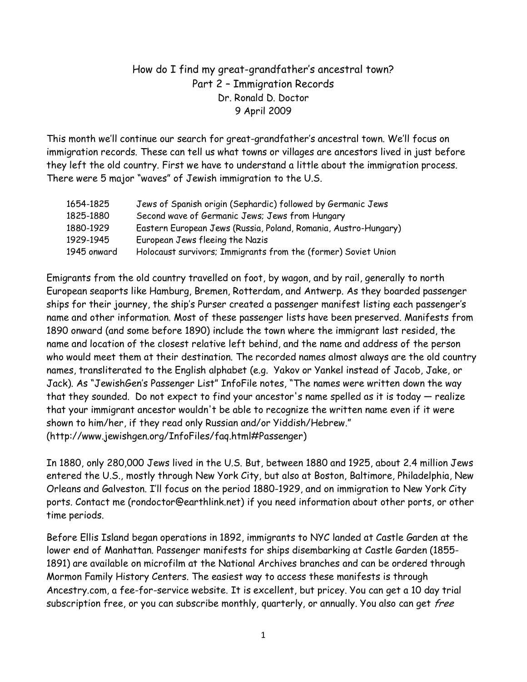## How do I find my great-grandfather's ancestral town? Part 2 – Immigration Records Dr. Ronald D. Doctor 9 April 2009

This month we'll continue our search for great-grandfather's ancestral town. We'll focus on immigration records. These can tell us what towns or villages are ancestors lived in just before they left the old country. First we have to understand a little about the immigration process. There were 5 major "waves" of Jewish immigration to the U.S.

| 1654-1825   | Jews of Spanish origin (Sephardic) followed by Germanic Jews    |
|-------------|-----------------------------------------------------------------|
| 1825-1880   | Second wave of Germanic Jews; Jews from Hungary                 |
| 1880-1929   | Eastern European Jews (Russia, Poland, Romania, Austro-Hungary) |
| 1929-1945   | European Jews fleeing the Nazis                                 |
| 1945 onward | Holocaust survivors; Immigrants from the (former) Soviet Union  |

Emigrants from the old country travelled on foot, by wagon, and by rail, generally to north European seaports like Hamburg, Bremen, Rotterdam, and Antwerp. As they boarded passenger ships for their journey, the ship's Purser created a passenger manifest listing each passenger's name and other information. Most of these passenger lists have been preserved. Manifests from 1890 onward (and some before 1890) include the town where the immigrant last resided, the name and location of the closest relative left behind, and the name and address of the person who would meet them at their destination. The recorded names almost always are the old country names, transliterated to the English alphabet (e.g. Yakov or Yankel instead of Jacob, Jake, or Jack). As "JewishGen's Passenger List" InfoFile notes, "The names were written down the way that they sounded. Do not expect to find your ancestor's name spelled as it is today — realize that your immigrant ancestor wouldn't be able to recognize the written name even if it were shown to him/her, if they read only Russian and/or Yiddish/Hebrew." (http://www.jewishgen.org/InfoFiles/faq.html#Passenger)

In 1880, only 280,000 Jews lived in the U.S. But, between 1880 and 1925, about 2.4 million Jews entered the U.S., mostly through New York City, but also at Boston, Baltimore, Philadelphia, New Orleans and Galveston. I'll focus on the period 1880-1929, and on immigration to New York City ports. Contact me (rondoctor@earthlink.net) if you need information about other ports, or other time periods.

Before Ellis Island began operations in 1892, immigrants to NYC landed at Castle Garden at the lower end of Manhattan. Passenger manifests for ships disembarking at Castle Garden (1855- 1891) are available on microfilm at the National Archives branches and can be ordered through Mormon Family History Centers. The easiest way to access these manifests is through Ancestry.com, a fee-for-service website. It is excellent, but pricey. You can get a 10 day trial subscription free, or you can subscribe monthly, quarterly, or annually. You also can get free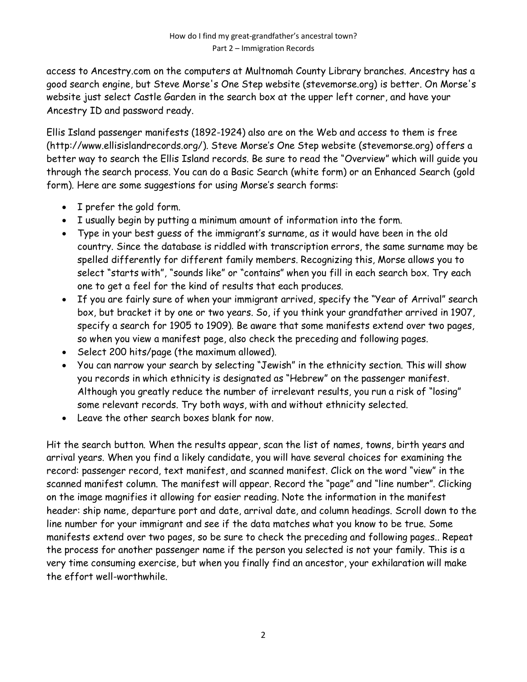access to Ancestry.com on the computers at Multnomah County Library branches. Ancestry has a good search engine, but Steve Morse's One Step website (stevemorse.org) is better. On Morse's website just select Castle Garden in the search box at the upper left corner, and have your Ancestry ID and password ready.

Ellis Island passenger manifests (1892-1924) also are on the Web and access to them is free (http://www.ellisislandrecords.org/). Steve Morse's One Step website (stevemorse.org) offers a better way to search the Ellis Island records. Be sure to read the "Overview" which will guide you through the search process. You can do a Basic Search (white form) or an Enhanced Search (gold form). Here are some suggestions for using Morse's search forms:

- I prefer the gold form.
- I usually begin by putting a minimum amount of information into the form.
- Type in your best guess of the immigrant's surname, as it would have been in the old country. Since the database is riddled with transcription errors, the same surname may be spelled differently for different family members. Recognizing this, Morse allows you to select "starts with", "sounds like" or "contains" when you fill in each search box. Try each one to get a feel for the kind of results that each produces.
- If you are fairly sure of when your immigrant arrived, specify the "Year of Arrival" search box, but bracket it by one or two years. So, if you think your grandfather arrived in 1907, specify a search for 1905 to 1909). Be aware that some manifests extend over two pages, so when you view a manifest page, also check the preceding and following pages.
- Select 200 hits/page (the maximum allowed).
- You can narrow your search by selecting "Jewish" in the ethnicity section. This will show you records in which ethnicity is designated as "Hebrew" on the passenger manifest. Although you greatly reduce the number of irrelevant results, you run a risk of "losing" some relevant records. Try both ways, with and without ethnicity selected.
- Leave the other search boxes blank for now.

Hit the search button. When the results appear, scan the list of names, towns, birth years and arrival years. When you find a likely candidate, you will have several choices for examining the record: passenger record, text manifest, and scanned manifest. Click on the word "view" in the scanned manifest column. The manifest will appear. Record the "page" and "line number". Clicking on the image magnifies it allowing for easier reading. Note the information in the manifest header: ship name, departure port and date, arrival date, and column headings. Scroll down to the line number for your immigrant and see if the data matches what you know to be true. Some manifests extend over two pages, so be sure to check the preceding and following pages.. Repeat the process for another passenger name if the person you selected is not your family. This is a very time consuming exercise, but when you finally find an ancestor, your exhilaration will make the effort well-worthwhile.